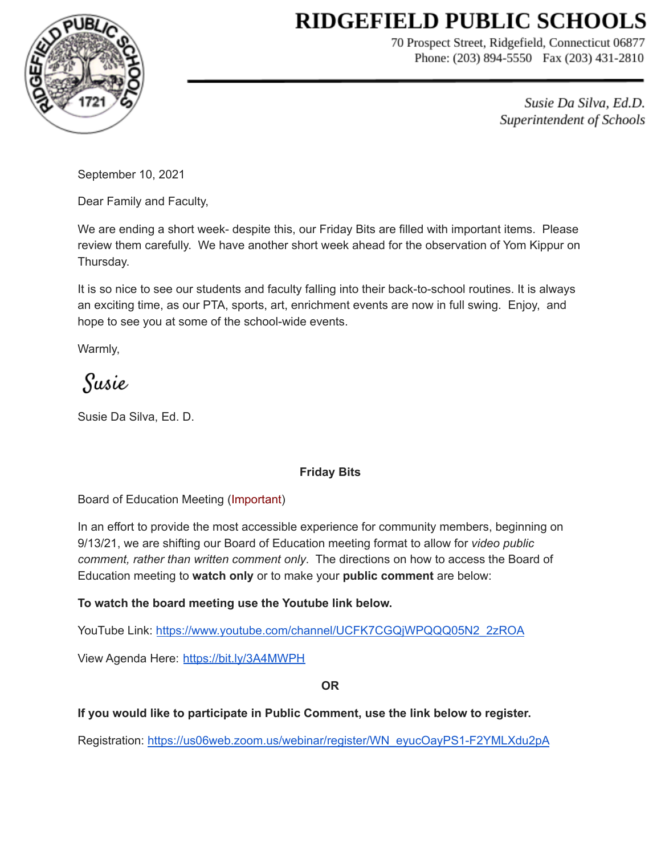# **RIDGEFIELD PUBLIC SCHOOLS**



70 Prospect Street, Ridgefield, Connecticut 06877 Phone: (203) 894-5550 Fax (203) 431-2810

> Susie Da Silva, Ed.D. Superintendent of Schools

September 10, 2021

Dear Family and Faculty,

We are ending a short week- despite this, our Friday Bits are filled with important items. Please review them carefully. We have another short week ahead for the observation of Yom Kippur on Thursday.

It is so nice to see our students and faculty falling into their back-to-school routines. It is always an exciting time, as our PTA, sports, art, enrichment events are now in full swing. Enjoy, and hope to see you at some of the school-wide events.

Warmly,

Susie

Susie Da Silva, Ed. D.

## **Friday Bits**

Board of Education Meeting (Important)

In an effort to provide the most accessible experience for community members, beginning on 9/13/21, we are shifting our Board of Education meeting format to allow for *video public comment, rather than written comment only*. The directions on how to access the Board of Education meeting to **watch only** or to make your **public comment** are below:

## **To watch the board meeting use the Youtube link below.**

YouTube Link: [https://www.youtube.com/channel/UCFK7CGQjWPQQQ05N2\\_2zROA](https://www.youtube.com/channel/UCFK7CGQjWPQQQ05N2_2zROA)

View Agenda Here: <https://bit.ly/3A4MWPH>

## **OR**

**If you would like to participate in Public Comment, use the link below to register.**

Registration: [https://us06web.zoom.us/webinar/register/WN\\_eyucOayPS1-F2YMLXdu2pA](https://us06web.zoom.us/webinar/register/WN_eyucOayPS1-F2YMLXdu2pA)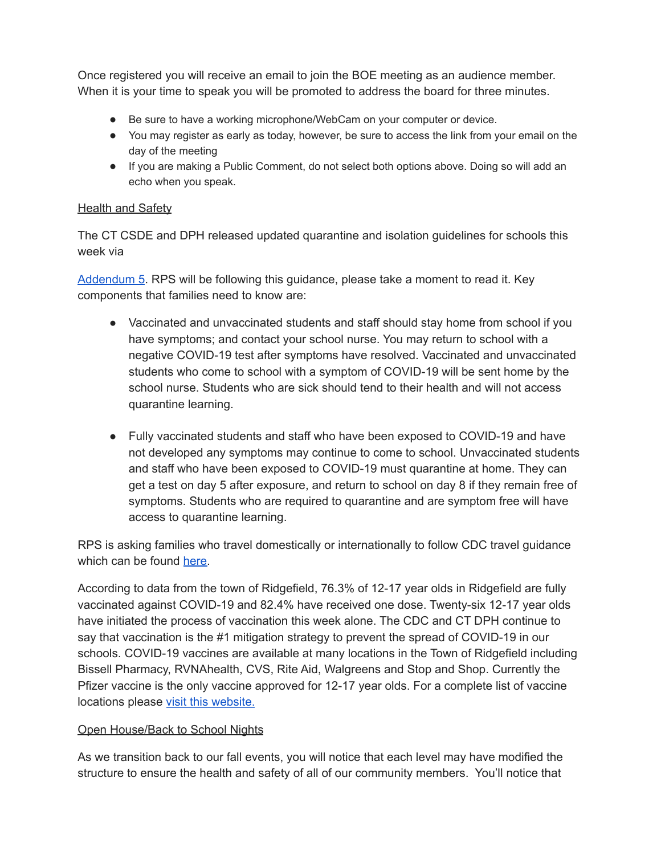Once registered you will receive an email to join the BOE meeting as an audience member. When it is your time to speak you will be promoted to address the board for three minutes.

- Be sure to have a working microphone/WebCam on your computer or device.
- You may register as early as today, however, be sure to access the link from your email on the day of the meeting
- If you are making a Public Comment, do not select both options above. Doing so will add an echo when you speak.

## **Health and Safety**

The CT CSDE and DPH released updated quarantine and isolation guidelines for schools this week via

[Addendum](https://drive.google.com/file/d/1PkHlSWAa2lzEsgIxUn7EsLMf3Cum9VCt/view?usp=sharing) 5. RPS will be following this guidance, please take a moment to read it. Key components that families need to know are:

- Vaccinated and unvaccinated students and staff should stay home from school if you have symptoms; and contact your school nurse. You may return to school with a negative COVID-19 test after symptoms have resolved. Vaccinated and unvaccinated students who come to school with a symptom of COVID-19 will be sent home by the school nurse. Students who are sick should tend to their health and will not access quarantine learning.
- Fully vaccinated students and staff who have been exposed to COVID-19 and have not developed any symptoms may continue to come to school. Unvaccinated students and staff who have been exposed to COVID-19 must quarantine at home. They can get a test on day 5 after exposure, and return to school on day 8 if they remain free of symptoms. Students who are required to quarantine and are symptom free will have access to quarantine learning.

RPS is asking families who travel domestically or internationally to follow CDC travel guidance which can be found [here.](https://www.cdc.gov/coronavirus/2019-ncov/travelers/index.html)

According to data from the town of Ridgefield, 76.3% of 12-17 year olds in Ridgefield are fully vaccinated against COVID-19 and 82.4% have received one dose. Twenty-six 12-17 year olds have initiated the process of vaccination this week alone. The CDC and CT DPH continue to say that vaccination is the #1 mitigation strategy to prevent the spread of COVID-19 in our schools. COVID-19 vaccines are available at many locations in the Town of Ridgefield including Bissell Pharmacy, RVNAhealth, CVS, Rite Aid, Walgreens and Stop and Shop. Currently the Pfizer vaccine is the only vaccine approved for 12-17 year olds. For a complete list of vaccine locations please visit this [website.](https://www.vaccines.gov/)

## Open House/Back to School Nights

As we transition back to our fall events, you will notice that each level may have modified the structure to ensure the health and safety of all of our community members. You'll notice that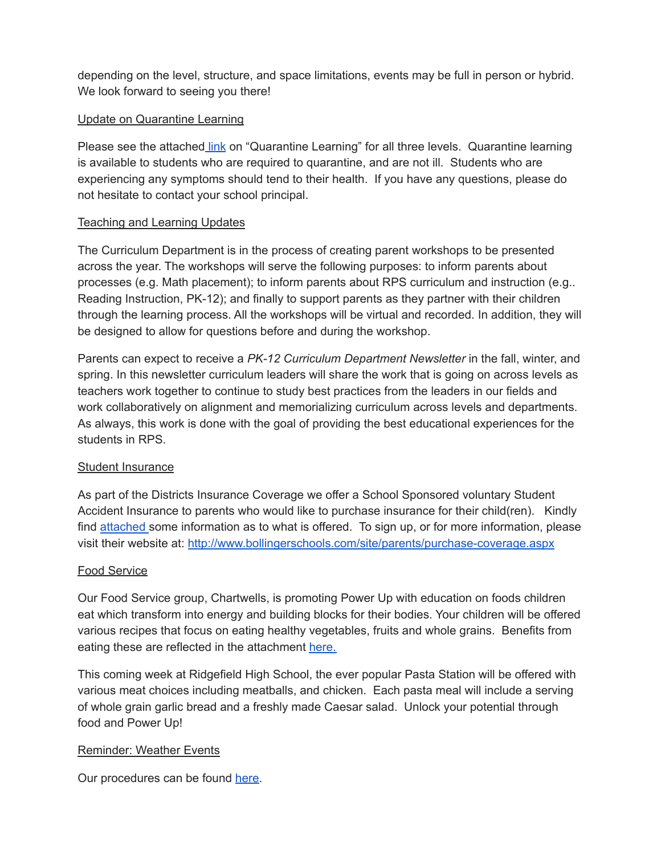depending on the level, structure, and space limitations, events may be full in person or hybrid. We look forward to seeing you there!

## Update on Quarantine Learning

Please see the attached [link](https://drive.google.com/file/d/1m_1IWxqL3WPdu2uGdOf8eRUhTY3Tj1kP/view?usp=sharing) on "Quarantine Learning" for all three levels. Quarantine learning is available to students who are required to quarantine, and are not ill. Students who are experiencing any symptoms should tend to their health. If you have any questions, please do not hesitate to contact your school principal.

### Teaching and Learning Updates

The Curriculum Department is in the process of creating parent workshops to be presented across the year. The workshops will serve the following purposes: to inform parents about processes (e.g. Math placement); to inform parents about RPS curriculum and instruction (e.g.. Reading Instruction, PK-12); and finally to support parents as they partner with their children through the learning process. All the workshops will be virtual and recorded. In addition, they will be designed to allow for questions before and during the workshop.

Parents can expect to receive a *PK-12 Curriculum Department Newsletter* in the fall, winter, and spring. In this newsletter curriculum leaders will share the work that is going on across levels as teachers work together to continue to study best practices from the leaders in our fields and work collaboratively on alignment and memorializing curriculum across levels and departments. As always, this work is done with the goal of providing the best educational experiences for the students in RPS.

## Student Insurance

As part of the Districts Insurance Coverage we offer a School Sponsored voluntary Student Accident Insurance to parents who would like to purchase insurance for their child(ren). Kindly find [attached](https://drive.google.com/file/d/1lL9ZpNDH0owupGRzWtW-Ghbin8eiiXFQ/view?usp=sharing) some information as to what is offered. To sign up, or for more information, please visit their website at: <http://www.bollingerschools.com/site/parents/purchase-coverage.aspx>

#### Food Service

Our Food Service group, Chartwells, is promoting Power Up with education on foods children eat which transform into energy and building blocks for their bodies. Your children will be offered various recipes that focus on eating healthy vegetables, fruits and whole grains. Benefits from eating these are reflected in the attachment [here.](https://drive.google.com/file/d/1aMVlau2P_x60O0LrlRHFhjKshqTZ-SlO/view?usp=sharing)

This coming week at Ridgefield High School, the ever popular Pasta Station will be offered with various meat choices including meatballs, and chicken. Each pasta meal will include a serving of whole grain garlic bread and a freshly made Caesar salad. Unlock your potential through food and Power Up!

#### Reminder: Weather Events

Our procedures can be found [here](https://drive.google.com/file/d/1x8IVk3j0UIBWybjWEhLnl31Hy97zUvts/view?usp=sharing).